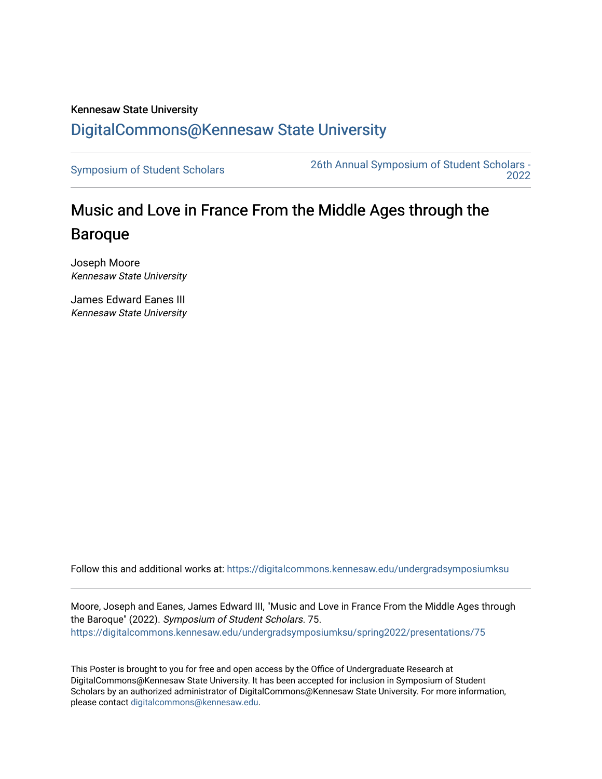### Kennesaw State University [DigitalCommons@Kennesaw State University](https://digitalcommons.kennesaw.edu/)

[Symposium of Student Scholars](https://digitalcommons.kennesaw.edu/undergradsymposiumksu) [26th Annual Symposium of Student Scholars -](https://digitalcommons.kennesaw.edu/undergradsymposiumksu/spring2022)  [2022](https://digitalcommons.kennesaw.edu/undergradsymposiumksu/spring2022) 

## Music and Love in France From the Middle Ages through the Baroque

Joseph Moore Kennesaw State University

James Edward Eanes III Kennesaw State University

Follow this and additional works at: [https://digitalcommons.kennesaw.edu/undergradsymposiumksu](https://digitalcommons.kennesaw.edu/undergradsymposiumksu?utm_source=digitalcommons.kennesaw.edu%2Fundergradsymposiumksu%2Fspring2022%2Fpresentations%2F75&utm_medium=PDF&utm_campaign=PDFCoverPages) 

Moore, Joseph and Eanes, James Edward III, "Music and Love in France From the Middle Ages through the Baroque" (2022). Symposium of Student Scholars. 75. [https://digitalcommons.kennesaw.edu/undergradsymposiumksu/spring2022/presentations/75](https://digitalcommons.kennesaw.edu/undergradsymposiumksu/spring2022/presentations/75?utm_source=digitalcommons.kennesaw.edu%2Fundergradsymposiumksu%2Fspring2022%2Fpresentations%2F75&utm_medium=PDF&utm_campaign=PDFCoverPages) 

This Poster is brought to you for free and open access by the Office of Undergraduate Research at DigitalCommons@Kennesaw State University. It has been accepted for inclusion in Symposium of Student Scholars by an authorized administrator of DigitalCommons@Kennesaw State University. For more information, please contact [digitalcommons@kennesaw.edu.](mailto:digitalcommons@kennesaw.edu)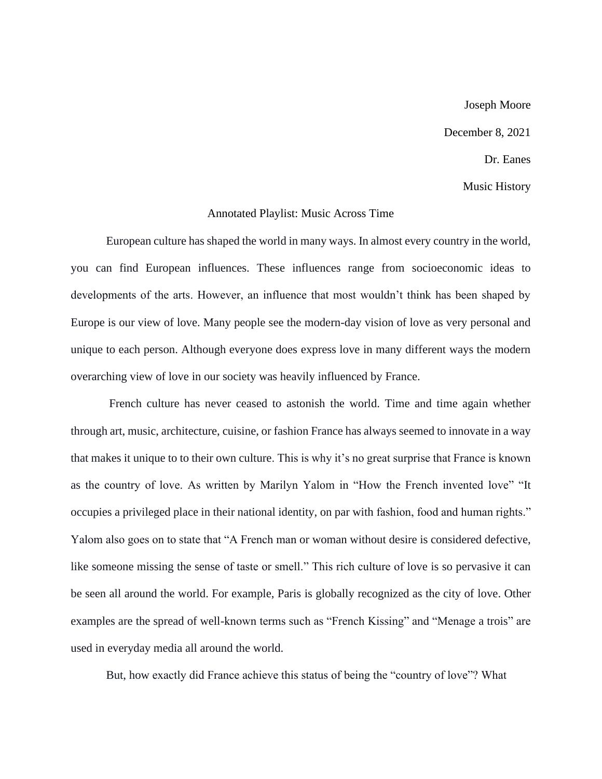# Joseph Moore December 8, 2021 Dr. Eanes Music History

#### Annotated Playlist: Music Across Time

European culture has shaped the world in many ways. In almost every country in the world, you can find European influences. These influences range from socioeconomic ideas to developments of the arts. However, an influence that most wouldn't think has been shaped by Europe is our view of love. Many people see the modern-day vision of love as very personal and unique to each person. Although everyone does express love in many different ways the modern overarching view of love in our society was heavily influenced by France.

French culture has never ceased to astonish the world. Time and time again whether through art, music, architecture, cuisine, or fashion France has always seemed to innovate in a way that makes it unique to to their own culture. This is why it's no great surprise that France is known as the country of love. As written by Marilyn Yalom in "How the French invented love" "It occupies a privileged place in their national identity, on par with fashion, food and human rights." Yalom also goes on to state that "A French man or woman without desire is considered defective, like someone missing the sense of taste or smell." This rich culture of love is so pervasive it can be seen all around the world. For example, Paris is globally recognized as the city of love. Other examples are the spread of well-known terms such as "French Kissing" and "Menage a trois" are used in everyday media all around the world.

But, how exactly did France achieve this status of being the "country of love"? What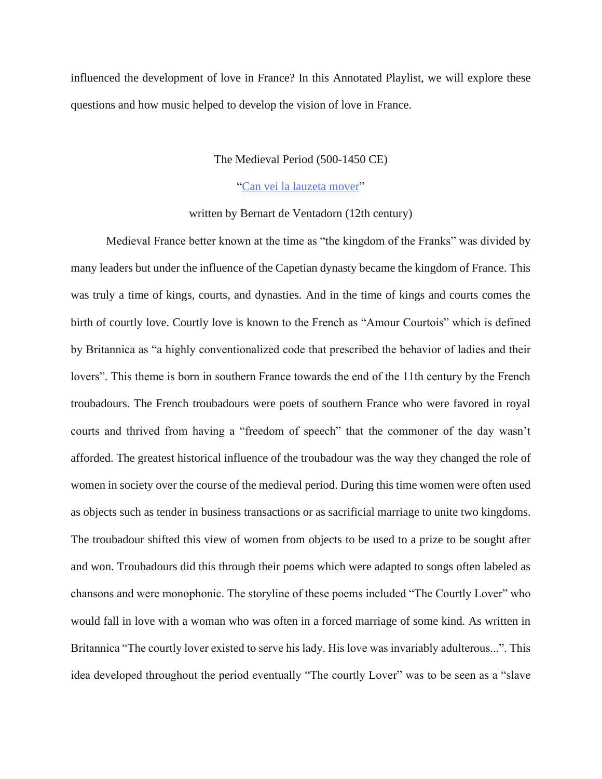influenced the development of love in France? In this Annotated Playlist, we will explore these questions and how music helped to develop the vision of love in France.

#### The Medieval Period (500-1450 CE)

#### ["Can vei la lauzeta mover"](https://www.youtube.com/watch?v=jkp2GHBRUiQ)

#### written by Bernart de Ventadorn (12th century)

Medieval France better known at the time as "the kingdom of the Franks" was divided by many leaders but under the influence of the Capetian dynasty became the kingdom of France. This was truly a time of kings, courts, and dynasties. And in the time of kings and courts comes the birth of courtly love. Courtly love is known to the French as "Amour Courtois" which is defined by Britannica as "a highly conventionalized code that prescribed the behavior of ladies and their lovers". This theme is born in southern France towards the end of the 11th century by the French troubadours. The French troubadours were poets of southern France who were favored in royal courts and thrived from having a "freedom of speech" that the commoner of the day wasn't afforded. The greatest historical influence of the troubadour was the way they changed the role of women in society over the course of the medieval period. During this time women were often used as objects such as tender in business transactions or as sacrificial marriage to unite two kingdoms. The troubadour shifted this view of women from objects to be used to a prize to be sought after and won. Troubadours did this through their poems which were adapted to songs often labeled as chansons and were monophonic. The storyline of these poems included "The Courtly Lover" who would fall in love with a woman who was often in a forced marriage of some kind. As written in Britannica "The courtly lover existed to serve his lady. His love was invariably adulterous...". This idea developed throughout the period eventually "The courtly Lover" was to be seen as a "slave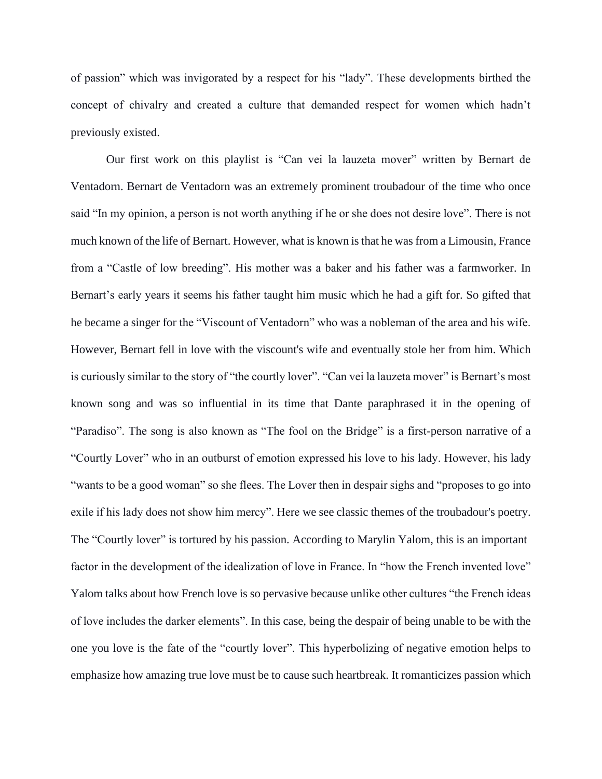of passion" which was invigorated by a respect for his "lady". These developments birthed the concept of chivalry and created a culture that demanded respect for women which hadn't previously existed.

Our first work on this playlist is "Can vei la lauzeta mover" written by Bernart de Ventadorn. Bernart de Ventadorn was an extremely prominent troubadour of the time who once said "In my opinion, a person is not worth anything if he or she does not desire love". There is not much known of the life of Bernart. However, what is known is that he was from a Limousin, France from a "Castle of low breeding". His mother was a baker and his father was a farmworker. In Bernart's early years it seems his father taught him music which he had a gift for. So gifted that he became a singer for the "Viscount of Ventadorn" who was a nobleman of the area and his wife. However, Bernart fell in love with the viscount's wife and eventually stole her from him. Which is curiously similar to the story of "the courtly lover". "Can vei la lauzeta mover" is Bernart's most known song and was so influential in its time that Dante paraphrased it in the opening of "Paradiso". The song is also known as "The fool on the Bridge" is a first-person narrative of a "Courtly Lover" who in an outburst of emotion expressed his love to his lady. However, his lady "wants to be a good woman" so she flees. The Lover then in despair sighs and "proposes to go into exile if his lady does not show him mercy". Here we see classic themes of the troubadour's poetry. The "Courtly lover" is tortured by his passion. According to Marylin Yalom, this is an important factor in the development of the idealization of love in France. In "how the French invented love" Yalom talks about how French love is so pervasive because unlike other cultures "the French ideas of love includes the darker elements". In this case, being the despair of being unable to be with the one you love is the fate of the "courtly lover". This hyperbolizing of negative emotion helps to emphasize how amazing true love must be to cause such heartbreak. It romanticizes passion which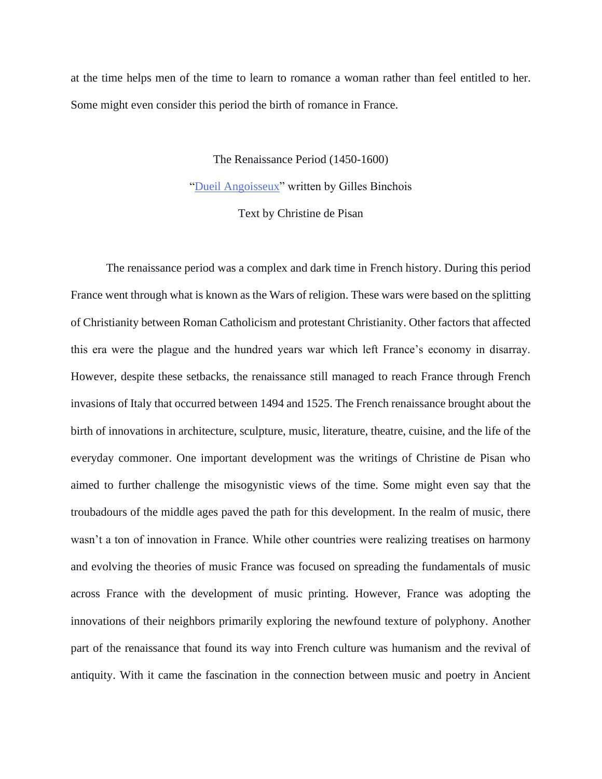at the time helps men of the time to learn to romance a woman rather than feel entitled to her. Some might even consider this period the birth of romance in France.

> The Renaissance Period (1450-1600) ["Dueil Angoisseux"](https://www.youtube.com/watch?v=wqOtFXXnccE) written by Gilles Binchois Text by Christine de Pisan

The renaissance period was a complex and dark time in French history. During this period France went through what is known as the Wars of religion. These wars were based on the splitting of Christianity between Roman Catholicism and protestant Christianity. Other factors that affected this era were the plague and the hundred years war which left France's economy in disarray. However, despite these setbacks, the renaissance still managed to reach France through French invasions of Italy that occurred between 1494 and 1525. The French renaissance brought about the birth of innovations in architecture, sculpture, music, literature, theatre, cuisine, and the life of the everyday commoner. One important development was the writings of Christine de Pisan who aimed to further challenge the misogynistic views of the time. Some might even say that the troubadours of the middle ages paved the path for this development. In the realm of music, there wasn't a ton of innovation in France. While other countries were realizing treatises on harmony and evolving the theories of music France was focused on spreading the fundamentals of music across France with the development of music printing. However, France was adopting the innovations of their neighbors primarily exploring the newfound texture of polyphony. Another part of the renaissance that found its way into French culture was humanism and the revival of antiquity. With it came the fascination in the connection between music and poetry in Ancient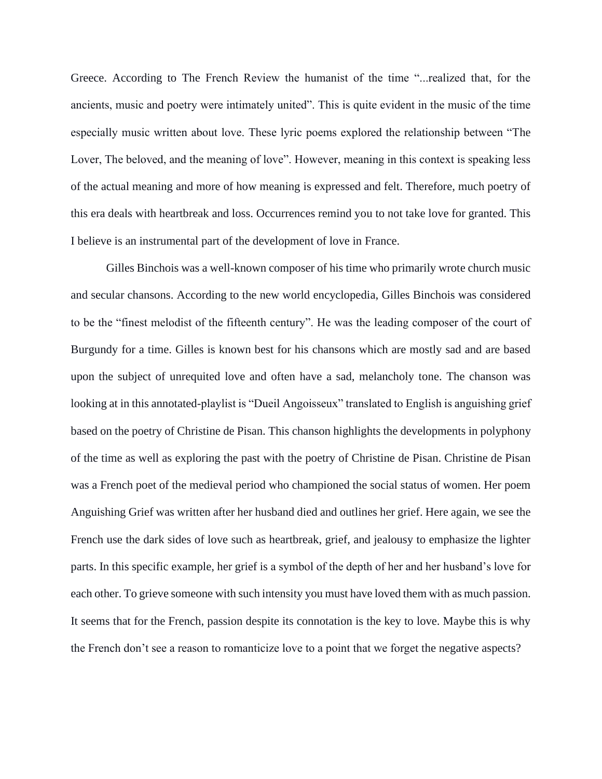Greece. According to The French Review the humanist of the time "...realized that, for the ancients, music and poetry were intimately united". This is quite evident in the music of the time especially music written about love. These lyric poems explored the relationship between "The Lover, The beloved, and the meaning of love". However, meaning in this context is speaking less of the actual meaning and more of how meaning is expressed and felt. Therefore, much poetry of this era deals with heartbreak and loss. Occurrences remind you to not take love for granted. This I believe is an instrumental part of the development of love in France.

Gilles Binchois was a well-known composer of his time who primarily wrote church music and secular chansons. According to the new world encyclopedia, Gilles Binchois was considered to be the "finest melodist of the fifteenth century". He was the leading composer of the court of Burgundy for a time. Gilles is known best for his chansons which are mostly sad and are based upon the subject of unrequited love and often have a sad, melancholy tone. The chanson was looking at in this annotated-playlist is "Dueil Angoisseux" translated to English is anguishing grief based on the poetry of Christine de Pisan. This chanson highlights the developments in polyphony of the time as well as exploring the past with the poetry of Christine de Pisan. Christine de Pisan was a French poet of the medieval period who championed the social status of women. Her poem Anguishing Grief was written after her husband died and outlines her grief. Here again, we see the French use the dark sides of love such as heartbreak, grief, and jealousy to emphasize the lighter parts. In this specific example, her grief is a symbol of the depth of her and her husband's love for each other. To grieve someone with such intensity you must have loved them with as much passion. It seems that for the French, passion despite its connotation is the key to love. Maybe this is why the French don't see a reason to romanticize love to a point that we forget the negative aspects?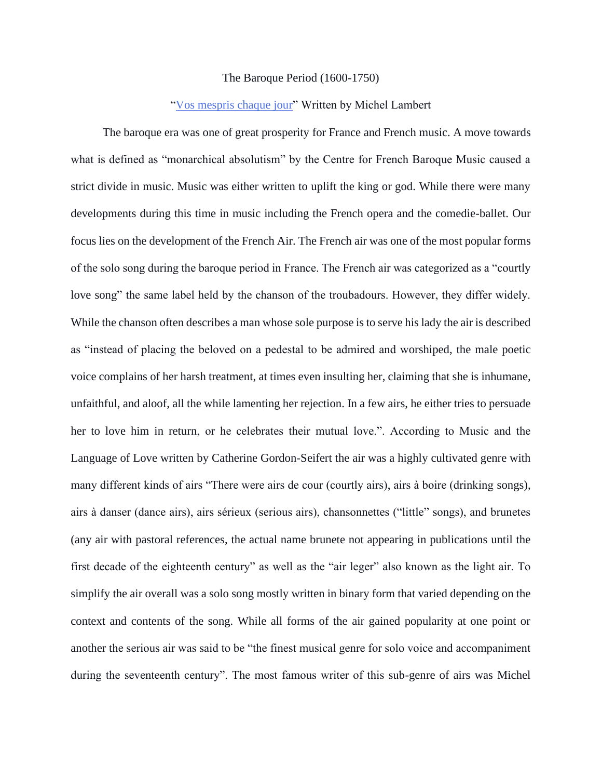#### The Baroque Period (1600-1750)

#### ["Vos mespris chaque jour"](https://www.youtube.com/watch?v=Uqd-bhsZwwc) Written by Michel Lambert

The baroque era was one of great prosperity for France and French music. A move towards what is defined as "monarchical absolutism" by the Centre for French Baroque Music caused a strict divide in music. Music was either written to uplift the king or god. While there were many developments during this time in music including the French opera and the comedie-ballet. Our focus lies on the development of the French Air. The French air was one of the most popular forms of the solo song during the baroque period in France. The French air was categorized as a "courtly love song" the same label held by the chanson of the troubadours. However, they differ widely. While the chanson often describes a man whose sole purpose is to serve his lady the air is described as "instead of placing the beloved on a pedestal to be admired and worshiped, the male poetic voice complains of her harsh treatment, at times even insulting her, claiming that she is inhumane, unfaithful, and aloof, all the while lamenting her rejection. In a few airs, he either tries to persuade her to love him in return, or he celebrates their mutual love.". According to Music and the Language of Love written by Catherine Gordon-Seifert the air was a highly cultivated genre with many different kinds of airs "There were airs de cour (courtly airs), airs à boire (drinking songs), airs à danser (dance airs), airs sérieux (serious airs), chansonnettes ("little" songs), and brunetes (any air with pastoral references, the actual name brunete not appearing in publications until the first decade of the eighteenth century" as well as the "air leger" also known as the light air. To simplify the air overall was a solo song mostly written in binary form that varied depending on the context and contents of the song. While all forms of the air gained popularity at one point or another the serious air was said to be "the finest musical genre for solo voice and accompaniment during the seventeenth century". The most famous writer of this sub-genre of airs was Michel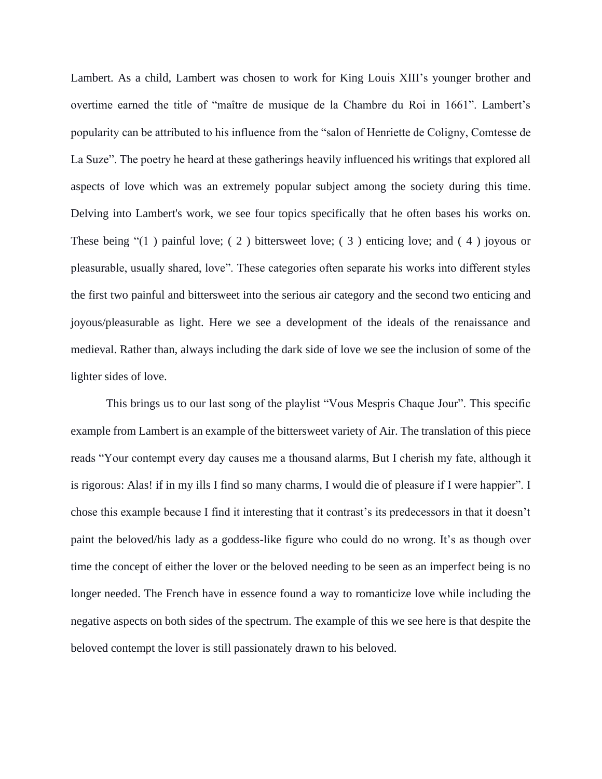Lambert. As a child, Lambert was chosen to work for King Louis XIII's younger brother and overtime earned the title of "maître de musique de la Chambre du Roi in 1661". Lambert's popularity can be attributed to his influence from the "salon of Henriette de Coligny, Comtesse de La Suze". The poetry he heard at these gatherings heavily influenced his writings that explored all aspects of love which was an extremely popular subject among the society during this time. Delving into Lambert's work, we see four topics specifically that he often bases his works on. These being "(1 ) painful love; ( 2 ) bittersweet love; ( 3 ) enticing love; and ( 4 ) joyous or pleasurable, usually shared, love". These categories often separate his works into different styles the first two painful and bittersweet into the serious air category and the second two enticing and joyous/pleasurable as light. Here we see a development of the ideals of the renaissance and medieval. Rather than, always including the dark side of love we see the inclusion of some of the lighter sides of love.

This brings us to our last song of the playlist "Vous Mespris Chaque Jour". This specific example from Lambert is an example of the bittersweet variety of Air. The translation of this piece reads "Your contempt every day causes me a thousand alarms, But I cherish my fate, although it is rigorous: Alas! if in my ills I find so many charms, I would die of pleasure if I were happier". I chose this example because I find it interesting that it contrast's its predecessors in that it doesn't paint the beloved/his lady as a goddess-like figure who could do no wrong. It's as though over time the concept of either the lover or the beloved needing to be seen as an imperfect being is no longer needed. The French have in essence found a way to romanticize love while including the negative aspects on both sides of the spectrum. The example of this we see here is that despite the beloved contempt the lover is still passionately drawn to his beloved.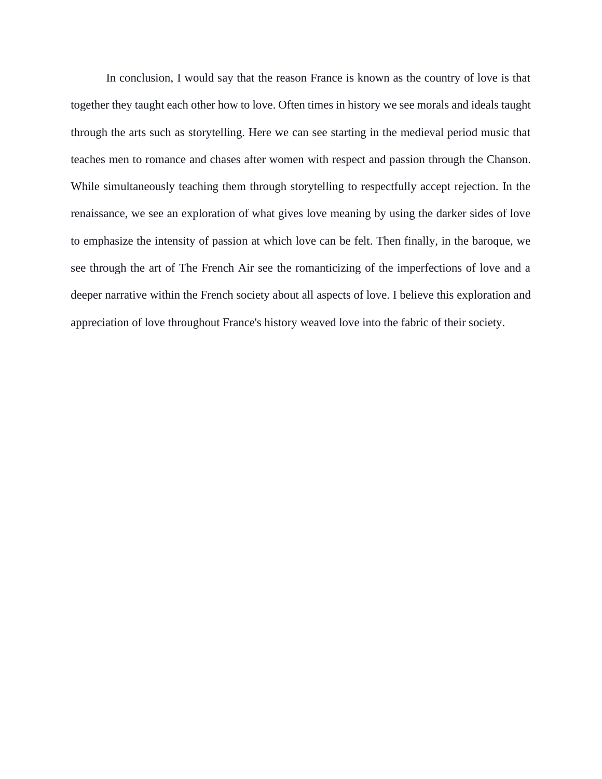In conclusion, I would say that the reason France is known as the country of love is that together they taught each other how to love. Often times in history we see morals and ideals taught through the arts such as storytelling. Here we can see starting in the medieval period music that teaches men to romance and chases after women with respect and passion through the Chanson. While simultaneously teaching them through storytelling to respectfully accept rejection. In the renaissance, we see an exploration of what gives love meaning by using the darker sides of love to emphasize the intensity of passion at which love can be felt. Then finally, in the baroque, we see through the art of The French Air see the romanticizing of the imperfections of love and a deeper narrative within the French society about all aspects of love. I believe this exploration and appreciation of love throughout France's history weaved love into the fabric of their society.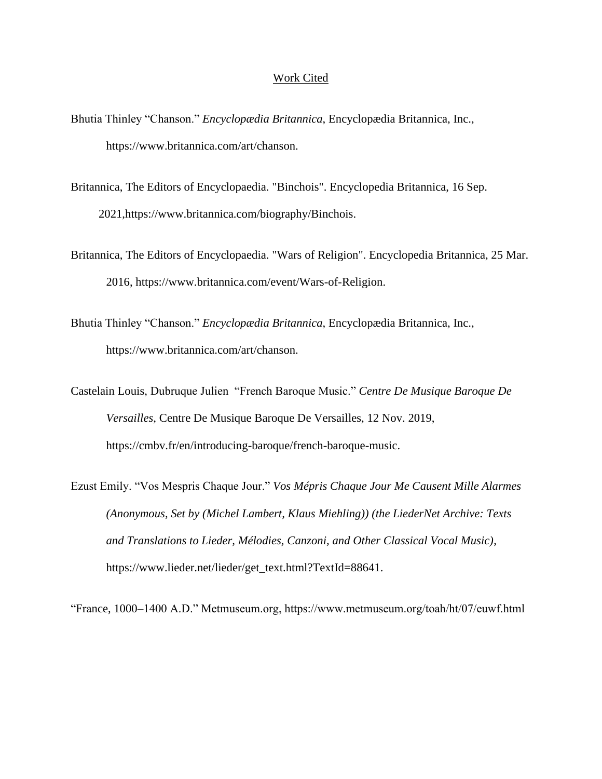#### Work Cited

- Bhutia Thinley "Chanson." *Encyclopædia Britannica*, Encyclopædia Britannica, Inc., https://www.britannica.com/art/chanson.
- Britannica, The Editors of Encyclopaedia. "Binchois". Encyclopedia Britannica, 16 Sep. 2021,https://www.britannica.com/biography/Binchois.
- Britannica, The Editors of Encyclopaedia. "Wars of Religion". Encyclopedia Britannica, 25 Mar. 2016, https://www.britannica.com/event/Wars-of-Religion.
- Bhutia Thinley "Chanson." *Encyclopædia Britannica*, Encyclopædia Britannica, Inc., https://www.britannica.com/art/chanson.

Castelain Louis, Dubruque Julien "French Baroque Music." *Centre De Musique Baroque De Versailles*, Centre De Musique Baroque De Versailles, 12 Nov. 2019, https://cmbv.fr/en/introducing-baroque/french-baroque-music.

Ezust Emily. "Vos Mespris Chaque Jour." *Vos Mépris Chaque Jour Me Causent Mille Alarmes (Anonymous, Set by (Michel Lambert, Klaus Miehling)) (the LiederNet Archive: Texts and Translations to Lieder, Mélodies, Canzoni, and Other Classical Vocal Music)*, https://www.lieder.net/lieder/get\_text.html?TextId=88641.

"France, 1000–1400 A.D." Metmuseum.org, https://www.metmuseum.org/toah/ht/07/euwf.html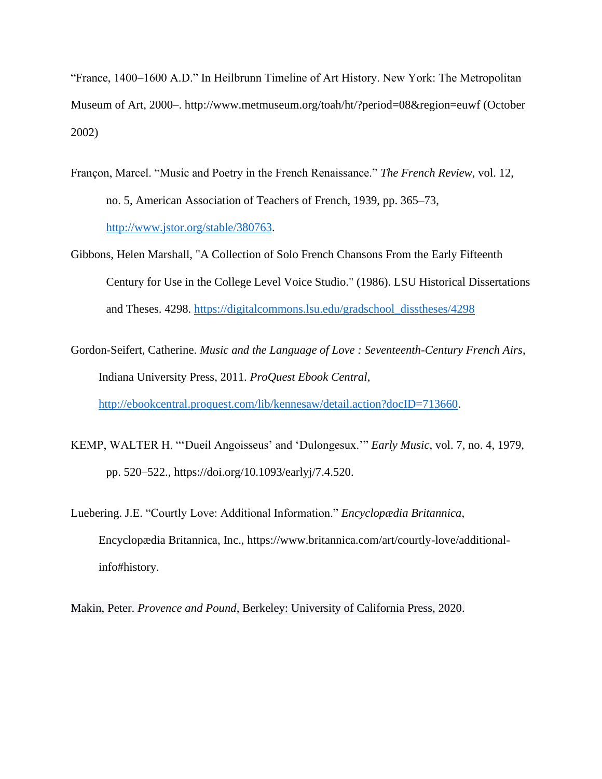"France, 1400–1600 A.D." In Heilbrunn Timeline of Art History. New York: The Metropolitan Museum of Art, 2000–. http://www.metmuseum.org/toah/ht/?period=08&region=euwf (October 2002)

- Françon, Marcel. "Music and Poetry in the French Renaissance." *The French Review*, vol. 12, no. 5, American Association of Teachers of French, 1939, pp. 365–73, [http://www.jstor.org/stable/380763.](http://www.jstor.org/stable/380763)
- Gibbons, Helen Marshall, "A Collection of Solo French Chansons From the Early Fifteenth Century for Use in the College Level Voice Studio." (1986). LSU Historical Dissertations and Theses. 4298. [https://digitalcommons.lsu.edu/gradschool\\_disstheses/4298](https://digitalcommons.lsu.edu/gradschool_disstheses/4298)

Gordon-Seifert, Catherine. *Music and the Language of Love : Seventeenth-Century French Airs*, Indiana University Press, 2011. *ProQuest Ebook Central*,

[http://ebookcentral.proquest.com/lib/kennesaw/detail.action?docID=713660.](http://ebookcentral.proquest.com/lib/kennesaw/detail.action?docID=713660)

- KEMP, WALTER H. "'Dueil Angoisseus' and 'Dulongesux.'" *Early Music*, vol. 7, no. 4, 1979, pp. 520–522., https://doi.org/10.1093/earlyj/7.4.520.
- Luebering. J.E. "Courtly Love: Additional Information." *Encyclopædia Britannica*, Encyclopædia Britannica, Inc., https://www.britannica.com/art/courtly-love/additionalinfo#history.

Makin, Peter. *Provence and Pound*, Berkeley: University of California Press, 2020.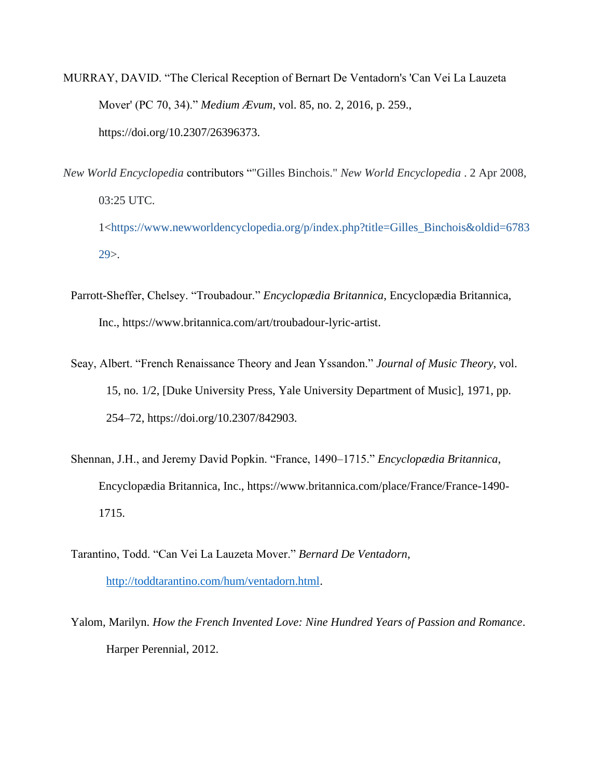- MURRAY, DAVID. "The Clerical Reception of Bernart De Ventadorn's 'Can Vei La Lauzeta Mover' (PC 70, 34)." *Medium Ævum*, vol. 85, no. 2, 2016, p. 259., https://doi.org/10.2307/26396373.
- *New World Encyclopedia* contributors ""Gilles Binchois." *New World Encyclopedia* . 2 Apr 2008, 03:25 UTC. 1[<https://www.newworldencyclopedia.org/p/index.php?title=Gilles\\_Binchois&oldid=6783](https://www.newworldencyclopedia.org/p/index.php?title=Gilles_Binchois&oldid=678329) [29>](https://www.newworldencyclopedia.org/p/index.php?title=Gilles_Binchois&oldid=678329).
	- Parrott-Sheffer, Chelsey. "Troubadour." *Encyclopædia Britannica*, Encyclopædia Britannica, Inc., https://www.britannica.com/art/troubadour-lyric-artist.
	- Seay, Albert. "French Renaissance Theory and Jean Yssandon." *Journal of Music Theory*, vol. 15, no. 1/2, [Duke University Press, Yale University Department of Music], 1971, pp. 254–72, https://doi.org/10.2307/842903.
	- Shennan, J.H., and Jeremy David Popkin. "France, 1490–1715." *Encyclopædia Britannica*, Encyclopædia Britannica, Inc., https://www.britannica.com/place/France/France-1490- 1715.
	- Tarantino, Todd. "Can Vei La Lauzeta Mover." *Bernard De Ventadorn*, [http://toddtarantino.com/hum/ventadorn.html.](http://toddtarantino.com/hum/ventadorn.html)
	- Yalom, Marilyn. *How the French Invented Love: Nine Hundred Years of Passion and Romance*. Harper Perennial, 2012.